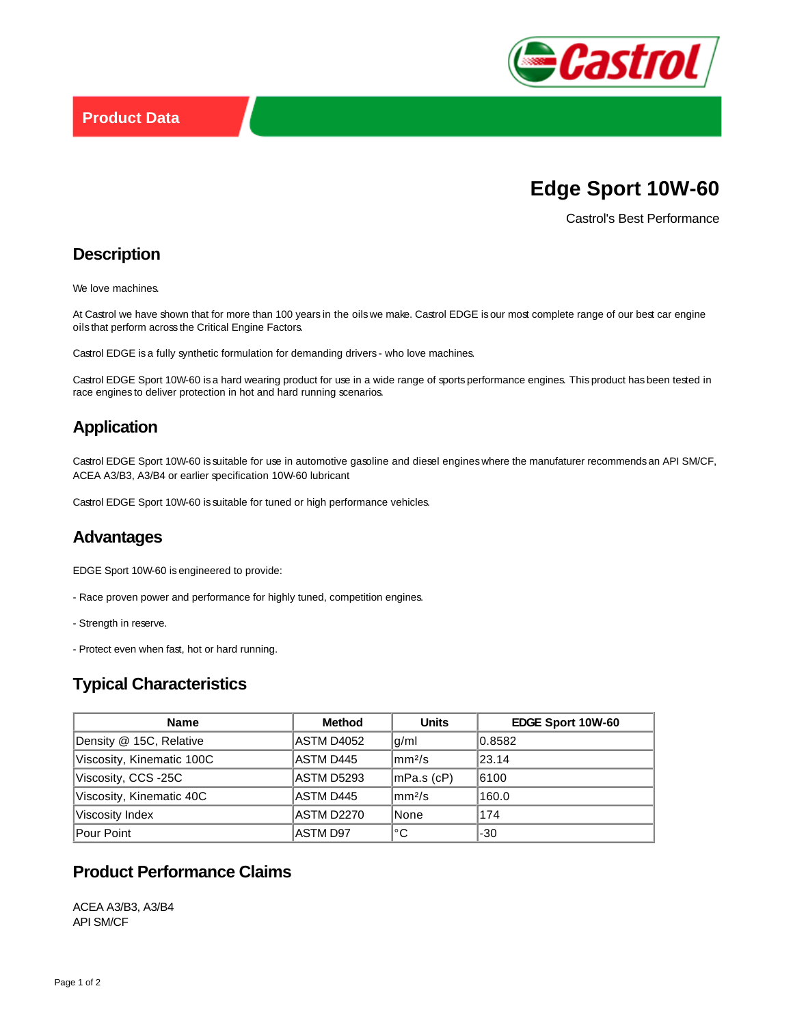

# **Edge Sport 10W-60**

Castrol's Best Performance

## **Description**

We love machines.

At Castrol we have shown that for more than 100 years in the oils we make. Castrol EDGE is our most complete range of our best car engine oils that perform across the Critical Engine Factors.

Castrol EDGE is a fully synthetic formulation for demanding drivers - who love machines.

Castrol EDGE Sport 10W-60 is a hard wearing product for use in a wide range of sports performance engines. This product has been tested in race engines to deliver protection in hot and hard running scenarios.

## **Application**

Castrol EDGE Sport 10W-60 is suitable for use in automotive gasoline and diesel engines where the manufaturer recommends an API SM/CF, ACEA A3/B3, A3/B4 or earlier specification 10W-60 lubricant

Castrol EDGE Sport 10W-60 is suitable for tuned or high performance vehicles.

#### **Advantages**

EDGE Sport 10W-60 is engineered to provide:

- Race proven power and performance for highly tuned, competition engines.
- Strength in reserve.
- Protect even when fast, hot or hard running.

### **Typical Characteristics**

| <b>Name</b>               | <b>Method</b> | <b>Units</b>  | EDGE Sport 10W-60 |
|---------------------------|---------------|---------------|-------------------|
| Density @ 15C, Relative   | ASTM D4052    | g/ml          | 0.8582            |
| Viscosity, Kinematic 100C | ASTM D445     | $\rm  mm^2/s$ | 23.14             |
| Viscosity, CCS -25C       | ASTM D5293    | $ mPa.s$ (cP) | 6100              |
| Viscosity, Kinematic 40C  | ASTM D445     | $\rm  mm^2/s$ | 160.0             |
| Viscosity Index           | ASTM D2270    | None          | 174               |
| Pour Point                | ASTM D97      | °C            | -30               |

## **Product Performance Claims**

ACEA A3/B3, A3/B4 API SM/CF